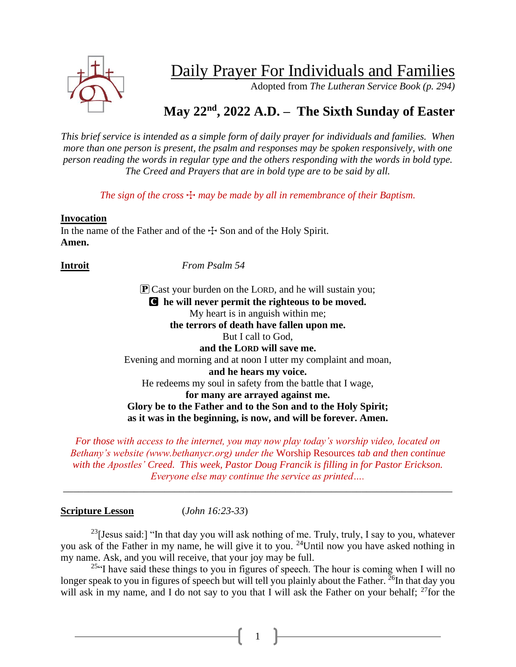

# Daily Prayer For Individuals and Families

Adopted from *The Lutheran Service Book (p. 294)*

# **May 22nd , 2022 A.D. – The Sixth Sunday of Easter**

*This brief service is intended as a simple form of daily prayer for individuals and families. When more than one person is present, the psalm and responses may be spoken responsively, with one person reading the words in regular type and the others responding with the words in bold type. The Creed and Prayers that are in bold type are to be said by all.*

*The sign of the cross*  $\pm$  *may be made by all in remembrance of their Baptism.* 

#### **Invocation**

In the name of the Father and of the  $\pm$  Son and of the Holy Spirit. **Amen.**

**Introit** *From Psalm 54*

**P** Cast your burden on the LORD, and he will sustain you; C **he will never permit the righteous to be moved.** My heart is in anguish within me; **the terrors of death have fallen upon me.** But I call to God, **and the LORD will save me.** Evening and morning and at noon I utter my complaint and moan, **and he hears my voice.** He redeems my soul in safety from the battle that I wage, **for many are arrayed against me. Glory be to the Father and to the Son and to the Holy Spirit; as it was in the beginning, is now, and will be forever. Amen.**

*For those with access to the internet, you may now play today's worship video, located on Bethany's website (www.bethanycr.org) under the* Worship Resources *tab and then continue with the Apostles' Creed. This week, Pastor Doug Francik is filling in for Pastor Erickson. Everyone else may continue the service as printed….*

\_\_\_\_\_\_\_\_\_\_\_\_\_\_\_\_\_\_\_\_\_\_\_\_\_\_\_\_\_\_\_\_\_\_\_\_\_\_\_\_\_\_\_\_\_\_\_\_\_\_\_\_\_\_\_\_\_\_\_\_\_\_\_\_\_\_\_\_\_\_\_\_\_\_\_\_\_

#### **Scripture Lesson** (*John 16:23-33*)

<sup>23</sup>[Jesus said:] "In that day you will ask nothing of me. Truly, truly, I say to you, whatever you ask of the Father in my name, he will give it to you. <sup>24</sup>Until now you have asked nothing in my name. Ask, and you will receive, that your joy may be full.

 $^{25}$ "I have said these things to you in figures of speech. The hour is coming when I will no longer speak to you in figures of speech but will tell you plainly about the Father.  $^{26}$ In that day you will ask in my name, and I do not say to you that I will ask the Father on your behalf; <sup>27</sup>for the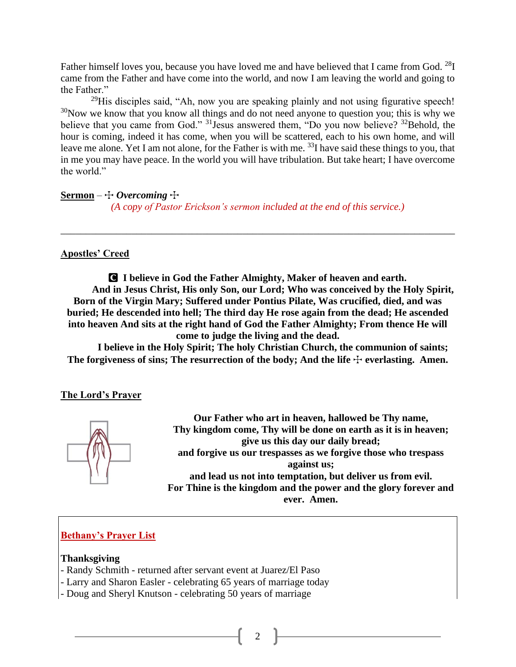Father himself loves you, because you have loved me and have believed that I came from God. <sup>28</sup>I came from the Father and have come into the world, and now I am leaving the world and going to the Father."

 $29$ His disciples said, "Ah, now you are speaking plainly and not using figurative speech! <sup>30</sup>Now we know that you know all things and do not need anyone to question you; this is why we believe that you came from God." <sup>31</sup> Jesus answered them, "Do you now believe? <sup>32</sup> Behold, the hour is coming, indeed it has come, when you will be scattered, each to his own home, and will leave me alone. Yet I am not alone, for the Father is with me. <sup>33</sup>I have said these things to you, that in me you may have peace. In the world you will have tribulation. But take heart; I have overcome the world."

**Sermon** –  $\div$  *Overcoming*  $\div$ *(A copy of Pastor Erickson's sermon included at the end of this service.)*

### **Apostles' Creed**

C **I believe in God the Father Almighty, Maker of heaven and earth. And in Jesus Christ, His only Son, our Lord; Who was conceived by the Holy Spirit, Born of the Virgin Mary; Suffered under Pontius Pilate, Was crucified, died, and was buried; He descended into hell; The third day He rose again from the dead; He ascended into heaven And sits at the right hand of God the Father Almighty; From thence He will come to judge the living and the dead.**

\_\_\_\_\_\_\_\_\_\_\_\_\_\_\_\_\_\_\_\_\_\_\_\_\_\_\_\_\_\_\_\_\_\_\_\_\_\_\_\_\_\_\_\_\_\_\_\_\_\_\_\_\_\_\_\_\_\_\_\_\_\_\_\_\_\_\_\_\_\_\_\_\_\_\_\_\_\_

**I believe in the Holy Spirit; The holy Christian Church, the communion of saints;**  The forgiveness of sins; The resurrection of the body; And the life  $\pm$  everlasting. Amen.

# **The Lord's Prayer**



**Our Father who art in heaven, hallowed be Thy name, Thy kingdom come, Thy will be done on earth as it is in heaven; give us this day our daily bread; and forgive us our trespasses as we forgive those who trespass against us; and lead us not into temptation, but deliver us from evil. For Thine is the kingdom and the power and the glory forever and ever. Amen.**

# **Bethany's Prayer List**

#### **Thanksgiving**

- Randy Schmith returned after servant event at Juarez/El Paso
- Larry and Sharon Easler celebrating 65 years of marriage today
- Doug and Sheryl Knutson celebrating 50 years of marriage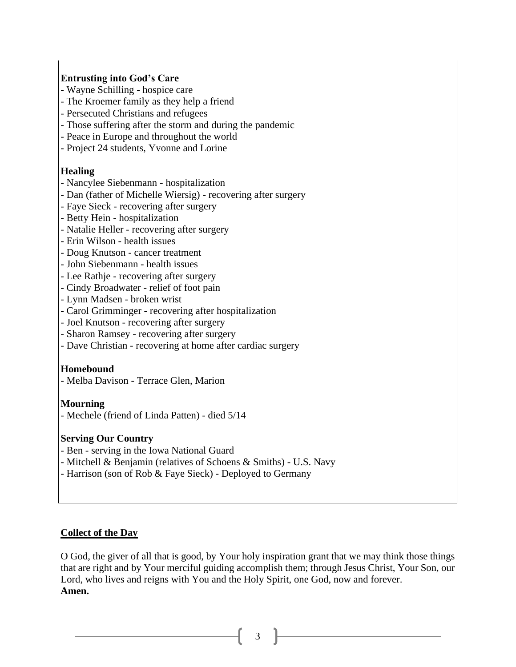## **Entrusting into God's Care**

- Wayne Schilling hospice care
- The Kroemer family as they help a friend
- Persecuted Christians and refugees
- Those suffering after the storm and during the pandemic
- Peace in Europe and throughout the world
- Project 24 students, Yvonne and Lorine

#### **Healing**

- Nancylee Siebenmann hospitalization
- Dan (father of Michelle Wiersig) recovering after surgery
- Faye Sieck recovering after surgery
- Betty Hein hospitalization
- Natalie Heller recovering after surgery
- Erin Wilson health issues
- Doug Knutson cancer treatment
- John Siebenmann health issues
- Lee Rathje recovering after surgery
- Cindy Broadwater relief of foot pain
- Lynn Madsen broken wrist
- Carol Grimminger recovering after hospitalization
- Joel Knutson recovering after surgery
- Sharon Ramsey recovering after surgery
- Dave Christian recovering at home after cardiac surgery

#### **Homebound**

- Melba Davison - Terrace Glen, Marion

#### **Mourning**

- Mechele (friend of Linda Patten) - died 5/14

#### **Serving Our Country**

- Ben serving in the Iowa National Guard
- Mitchell & Benjamin (relatives of Schoens & Smiths) U.S. Navy
- Harrison (son of Rob & Faye Sieck) Deployed to Germany

#### **Collect of the Day**

O God, the giver of all that is good, by Your holy inspiration grant that we may think those things that are right and by Your merciful guiding accomplish them; through Jesus Christ, Your Son, our Lord, who lives and reigns with You and the Holy Spirit, one God, now and forever. **Amen.**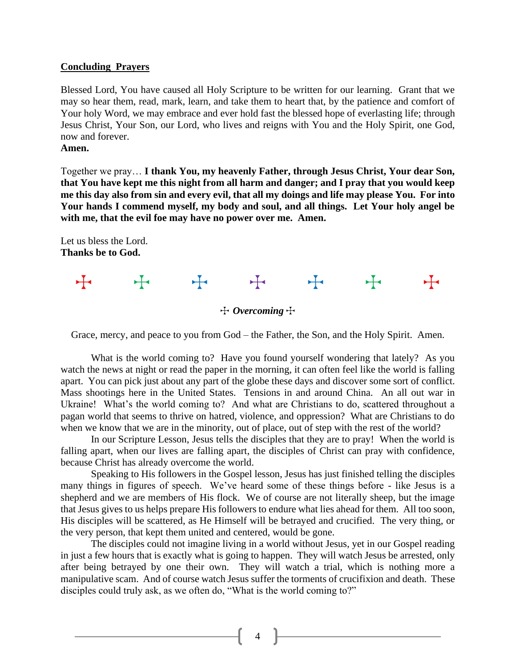#### **Concluding Prayers**

Blessed Lord, You have caused all Holy Scripture to be written for our learning. Grant that we may so hear them, read, mark, learn, and take them to heart that, by the patience and comfort of Your holy Word, we may embrace and ever hold fast the blessed hope of everlasting life; through Jesus Christ, Your Son, our Lord, who lives and reigns with You and the Holy Spirit, one God, now and forever.

#### **Amen.**

Together we pray… **I thank You, my heavenly Father, through Jesus Christ, Your dear Son, that You have kept me this night from all harm and danger; and I pray that you would keep me this day also from sin and every evil, that all my doings and life may please You. For into Your hands I commend myself, my body and soul, and all things. Let Your holy angel be with me, that the evil foe may have no power over me. Amen.**

Let us bless the Lord. **Thanks be to God.**



Grace, mercy, and peace to you from God – the Father, the Son, and the Holy Spirit. Amen.

What is the world coming to? Have you found yourself wondering that lately? As you watch the news at night or read the paper in the morning, it can often feel like the world is falling apart. You can pick just about any part of the globe these days and discover some sort of conflict. Mass shootings here in the United States. Tensions in and around China. An all out war in Ukraine! What's the world coming to? And what are Christians to do, scattered throughout a pagan world that seems to thrive on hatred, violence, and oppression? What are Christians to do when we know that we are in the minority, out of place, out of step with the rest of the world?

In our Scripture Lesson, Jesus tells the disciples that they are to pray! When the world is falling apart, when our lives are falling apart, the disciples of Christ can pray with confidence, because Christ has already overcome the world.

Speaking to His followers in the Gospel lesson, Jesus has just finished telling the disciples many things in figures of speech. We've heard some of these things before - like Jesus is a shepherd and we are members of His flock. We of course are not literally sheep, but the image that Jesus gives to us helps prepare His followers to endure what lies ahead for them. All too soon, His disciples will be scattered, as He Himself will be betrayed and crucified. The very thing, or the very person, that kept them united and centered, would be gone.

The disciples could not imagine living in a world without Jesus, yet in our Gospel reading in just a few hours that is exactly what is going to happen. They will watch Jesus be arrested, only after being betrayed by one their own. They will watch a trial, which is nothing more a manipulative scam. And of course watch Jesus suffer the torments of crucifixion and death. These disciples could truly ask, as we often do, "What is the world coming to?"